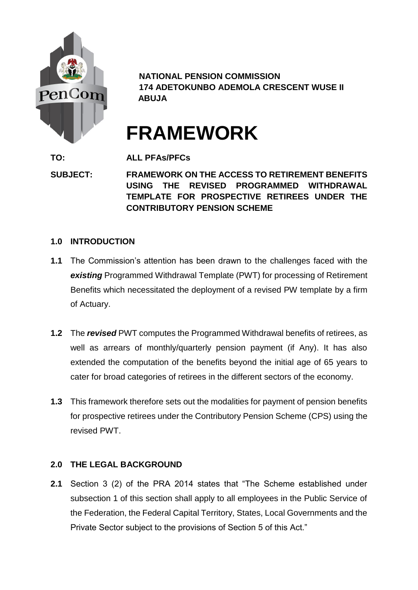

**NATIONAL PENSION COMMISSION 174 ADETOKUNBO ADEMOLA CRESCENT WUSE II ABUJA**

# **FRAMEWORK**

**TO: ALL PFAs/PFCs**

**SUBJECT: FRAMEWORK ON THE ACCESS TO RETIREMENT BENEFITS USING THE REVISED PROGRAMMED WITHDRAWAL TEMPLATE FOR PROSPECTIVE RETIREES UNDER THE CONTRIBUTORY PENSION SCHEME**

# **1.0 INTRODUCTION**

- **1.1** The Commission's attention has been drawn to the challenges faced with the *existing* Programmed Withdrawal Template (PWT) for processing of Retirement Benefits which necessitated the deployment of a revised PW template by a firm of Actuary.
- **1.2** The *revised* PWT computes the Programmed Withdrawal benefits of retirees, as well as arrears of monthly/quarterly pension payment (if Any). It has also extended the computation of the benefits beyond the initial age of 65 years to cater for broad categories of retirees in the different sectors of the economy.
- **1.3** This framework therefore sets out the modalities for payment of pension benefits for prospective retirees under the Contributory Pension Scheme (CPS) using the revised PWT.

# **2.0 THE LEGAL BACKGROUND**

**2.1** Section 3 (2) of the PRA 2014 states that "The Scheme established under subsection 1 of this section shall apply to all employees in the Public Service of the Federation, the Federal Capital Territory, States, Local Governments and the Private Sector subject to the provisions of Section 5 of this Act."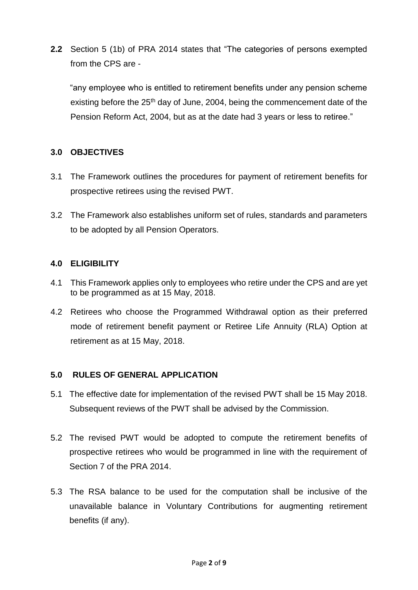**2.2** Section 5 (1b) of PRA 2014 states that "The categories of persons exempted from the CPS are -

"any employee who is entitled to retirement benefits under any pension scheme existing before the 25<sup>th</sup> day of June, 2004, being the commencement date of the Pension Reform Act, 2004, but as at the date had 3 years or less to retiree."

# **3.0 OBJECTIVES**

- 3.1 The Framework outlines the procedures for payment of retirement benefits for prospective retirees using the revised PWT.
- 3.2 The Framework also establishes uniform set of rules, standards and parameters to be adopted by all Pension Operators.

# **4.0 ELIGIBILITY**

- 4.1 This Framework applies only to employees who retire under the CPS and are yet to be programmed as at 15 May, 2018.
- 4.2 Retirees who choose the Programmed Withdrawal option as their preferred mode of retirement benefit payment or Retiree Life Annuity (RLA) Option at retirement as at 15 May, 2018.

# **5.0 RULES OF GENERAL APPLICATION**

- 5.1 The effective date for implementation of the revised PWT shall be 15 May 2018. Subsequent reviews of the PWT shall be advised by the Commission.
- 5.2 The revised PWT would be adopted to compute the retirement benefits of prospective retirees who would be programmed in line with the requirement of Section 7 of the PRA 2014.
- 5.3 The RSA balance to be used for the computation shall be inclusive of the unavailable balance in Voluntary Contributions for augmenting retirement benefits (if any).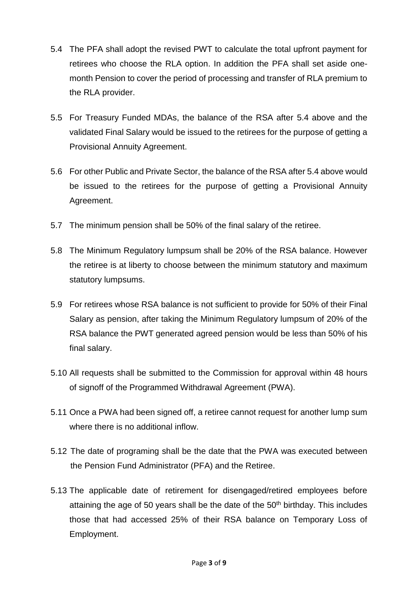- 5.4 The PFA shall adopt the revised PWT to calculate the total upfront payment for retirees who choose the RLA option. In addition the PFA shall set aside onemonth Pension to cover the period of processing and transfer of RLA premium to the RLA provider.
- 5.5 For Treasury Funded MDAs, the balance of the RSA after 5.4 above and the validated Final Salary would be issued to the retirees for the purpose of getting a Provisional Annuity Agreement.
- 5.6 For other Public and Private Sector, the balance of the RSA after 5.4 above would be issued to the retirees for the purpose of getting a Provisional Annuity Agreement.
- 5.7 The minimum pension shall be 50% of the final salary of the retiree.
- 5.8 The Minimum Regulatory lumpsum shall be 20% of the RSA balance. However the retiree is at liberty to choose between the minimum statutory and maximum statutory lumpsums.
- 5.9 For retirees whose RSA balance is not sufficient to provide for 50% of their Final Salary as pension, after taking the Minimum Regulatory lumpsum of 20% of the RSA balance the PWT generated agreed pension would be less than 50% of his final salary.
- 5.10 All requests shall be submitted to the Commission for approval within 48 hours of signoff of the Programmed Withdrawal Agreement (PWA).
- 5.11 Once a PWA had been signed off, a retiree cannot request for another lump sum where there is no additional inflow.
- 5.12 The date of programing shall be the date that the PWA was executed between the Pension Fund Administrator (PFA) and the Retiree.
- 5.13 The applicable date of retirement for disengaged/retired employees before attaining the age of 50 years shall be the date of the  $50<sup>th</sup>$  birthday. This includes those that had accessed 25% of their RSA balance on Temporary Loss of Employment.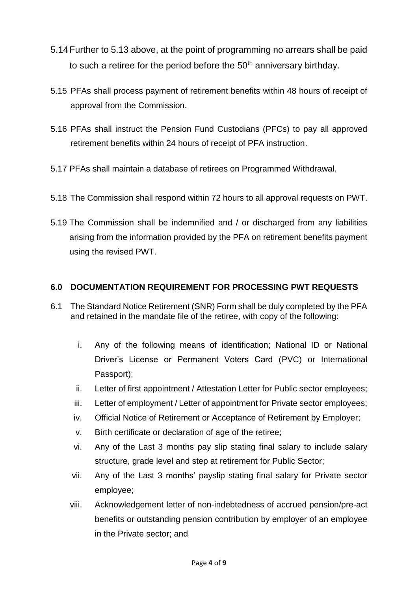- 5.14Further to 5.13 above, at the point of programming no arrears shall be paid to such a retiree for the period before the  $50<sup>th</sup>$  anniversary birthday.
- 5.15 PFAs shall process payment of retirement benefits within 48 hours of receipt of approval from the Commission.
- 5.16 PFAs shall instruct the Pension Fund Custodians (PFCs) to pay all approved retirement benefits within 24 hours of receipt of PFA instruction.
- 5.17 PFAs shall maintain a database of retirees on Programmed Withdrawal.
- 5.18 The Commission shall respond within 72 hours to all approval requests on PWT.
- 5.19 The Commission shall be indemnified and / or discharged from any liabilities arising from the information provided by the PFA on retirement benefits payment using the revised PWT.

# **6.0 DOCUMENTATION REQUIREMENT FOR PROCESSING PWT REQUESTS**

- 6.1 The Standard Notice Retirement (SNR) Form shall be duly completed by the PFA and retained in the mandate file of the retiree, with copy of the following:
	- i. Any of the following means of identification; National ID or National Driver's License or Permanent Voters Card (PVC) or International Passport);
	- ii. Letter of first appointment / Attestation Letter for Public sector employees;
	- iii. Letter of employment / Letter of appointment for Private sector employees;
	- iv. Official Notice of Retirement or Acceptance of Retirement by Employer;
	- v. Birth certificate or declaration of age of the retiree;
	- vi. Any of the Last 3 months pay slip stating final salary to include salary structure, grade level and step at retirement for Public Sector;
	- vii. Any of the Last 3 months' payslip stating final salary for Private sector employee;
	- viii. Acknowledgement letter of non-indebtedness of accrued pension/pre-act benefits or outstanding pension contribution by employer of an employee in the Private sector; and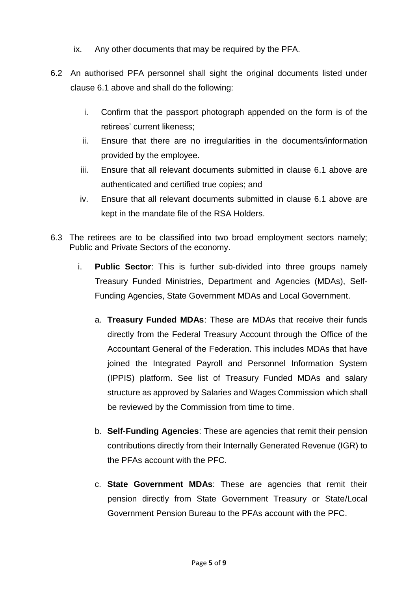- ix. Any other documents that may be required by the PFA.
- 6.2 An authorised PFA personnel shall sight the original documents listed under clause 6.1 above and shall do the following:
	- i. Confirm that the passport photograph appended on the form is of the retirees' current likeness;
	- ii. Ensure that there are no irregularities in the documents/information provided by the employee.
	- iii. Ensure that all relevant documents submitted in clause 6.1 above are authenticated and certified true copies; and
	- iv. Ensure that all relevant documents submitted in clause 6.1 above are kept in the mandate file of the RSA Holders.
- 6.3 The retirees are to be classified into two broad employment sectors namely; Public and Private Sectors of the economy.
	- i. **Public Sector**: This is further sub-divided into three groups namely Treasury Funded Ministries, Department and Agencies (MDAs), Self-Funding Agencies, State Government MDAs and Local Government.
		- a. **Treasury Funded MDAs**: These are MDAs that receive their funds directly from the Federal Treasury Account through the Office of the Accountant General of the Federation. This includes MDAs that have joined the Integrated Payroll and Personnel Information System (IPPIS) platform. See list of Treasury Funded MDAs and salary structure as approved by Salaries and Wages Commission which shall be reviewed by the Commission from time to time.
		- b. **Self-Funding Agencies**: These are agencies that remit their pension contributions directly from their Internally Generated Revenue (IGR) to the PFAs account with the PFC.
		- c. **State Government MDAs**: These are agencies that remit their pension directly from State Government Treasury or State/Local Government Pension Bureau to the PFAs account with the PFC.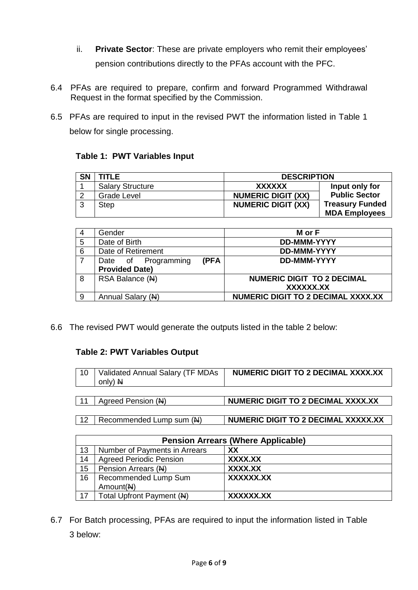- ii. **Private Sector**: These are private employers who remit their employees' pension contributions directly to the PFAs account with the PFC.
- 6.4 PFAs are required to prepare, confirm and forward Programmed Withdrawal Request in the format specified by the Commission.
- 6.5 PFAs are required to input in the revised PWT the information listed in Table 1 below for single processing.

|  |  | Table 1: PWT Variables Input |  |
|--|--|------------------------------|--|
|--|--|------------------------------|--|

| <b>SN</b> | TITLE                   | <b>DESCRIPTION</b>        |                        |
|-----------|-------------------------|---------------------------|------------------------|
|           | <b>Salary Structure</b> | XXXXXX                    | Input only for         |
|           | Grade Level             | <b>NUMERIC DIGIT (XX)</b> | <b>Public Sector</b>   |
|           | <b>Step</b>             | <b>NUMERIC DIGIT (XX)</b> | <b>Treasury Funded</b> |
|           |                         |                           | <b>MDA Employees</b>   |

| 4 | Gender                      | M or F                                    |
|---|-----------------------------|-------------------------------------------|
| 5 | Date of Birth               | <b>DD-MMM-YYYY</b>                        |
| 6 | Date of Retirement          | <b>DD-MMM-YYYY</b>                        |
|   | (PFA<br>Date of Programming | <b>DD-MMM-YYYY</b>                        |
|   | <b>Provided Date)</b>       |                                           |
| 8 | RSA Balance (N)             | <b>NUMERIC DIGIT TO 2 DECIMAL</b>         |
|   |                             | XXXXXX.XX                                 |
| 9 | Annual Salary (N)           | <b>NUMERIC DIGIT TO 2 DECIMAL XXXX.XX</b> |

6.6 The revised PWT would generate the outputs listed in the table 2 below:

# **Table 2: PWT Variables Output**

| 10         | Validated Annual Salary (TF MDAs<br>only) $H$ | NUMERIC DIGIT TO 2 DECIMAL XXXX.XX  |
|------------|-----------------------------------------------|-------------------------------------|
|            | Agreed Pension (N)                            | NUMERIC DIGIT TO 2 DECIMAL XXXX.XX  |
| $\vert$ 12 | l Recommended Lump sum (N)                    | NUMERIC DIGIT TO 2 DECIMAL XXXXX.XX |

| . . | $1100011111011000$ Lating 00111 (11) | $\mathbf{I} \cup \mathbf{I} \cup \mathbf{I} \cup \mathbf{I} \cup \mathbf{I} \cup \mathbf{I} \cup \mathbf{I} \cup \mathbf{I} \cup \mathbf{I} \cup \mathbf{I} \cup \mathbf{I} \cup \mathbf{I} \cup \mathbf{I} \cup \mathbf{I} \cup \mathbf{I} \cup \mathbf{I} \cup \mathbf{I} \cup \mathbf{I} \cup \mathbf{I} \cup \mathbf{I} \cup \mathbf{I} \cup \mathbf{I} \cup \mathbf{I} \cup \mathbf{I} \cup \mathbf{I} \cup \mathbf{I} \cup \mathbf{I} \cup \mathbf{$ |
|-----|--------------------------------------|------------------------------------------------------------------------------------------------------------------------------------------------------------------------------------------------------------------------------------------------------------------------------------------------------------------------------------------------------------------------------------------------------------------------------------------------------------|
|     |                                      |                                                                                                                                                                                                                                                                                                                                                                                                                                                            |
|     |                                      |                                                                                                                                                                                                                                                                                                                                                                                                                                                            |
|     |                                      |                                                                                                                                                                                                                                                                                                                                                                                                                                                            |
|     |                                      |                                                                                                                                                                                                                                                                                                                                                                                                                                                            |
|     |                                      |                                                                                                                                                                                                                                                                                                                                                                                                                                                            |

| <b>Pension Arrears (Where Applicable)</b> |                                |           |
|-------------------------------------------|--------------------------------|-----------|
| 13                                        | Number of Payments in Arrears  | XX        |
| 14                                        | <b>Agreed Periodic Pension</b> | XXXX.XX   |
| 15 <sub>2</sub>                           | Pension Arrears (N)            | XXXX.XX   |
| 16                                        | Recommended Lump Sum           | XXXXXX.XX |
|                                           | Amount(N)                      |           |
| 17                                        | Total Upfront Payment (N)      | XXXXXX.XX |

6.7 For Batch processing, PFAs are required to input the information listed in Table 3 below: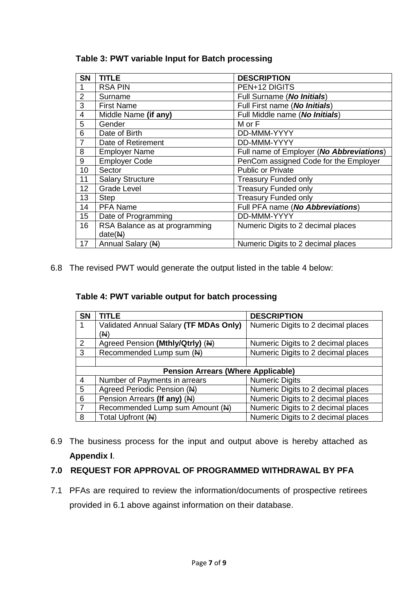| <b>SN</b>      | <b>TITLE</b>                             | <b>DESCRIPTION</b>                       |
|----------------|------------------------------------------|------------------------------------------|
|                | <b>RSA PIN</b>                           | PEN+12 DIGITS                            |
| $\overline{2}$ | Surname                                  | Full Surname (No Initials)               |
| 3              | <b>First Name</b>                        | Full First name (No Initials)            |
| 4              | Middle Name (if any)                     | Full Middle name (No Initials)           |
| 5              | Gender                                   | M or F                                   |
| 6              | Date of Birth                            | DD-MMM-YYYY                              |
| $\overline{7}$ | Date of Retirement                       | DD-MMM-YYYY                              |
| 8              | <b>Employer Name</b>                     | Full name of Employer (No Abbreviations) |
| 9              | <b>Employer Code</b>                     | PenCom assigned Code for the Employer    |
| 10             | Sector                                   | <b>Public or Private</b>                 |
| 11             | <b>Salary Structure</b>                  | <b>Treasury Funded only</b>              |
| 12             | <b>Grade Level</b>                       | <b>Treasury Funded only</b>              |
| 13             | <b>Step</b>                              | <b>Treasury Funded only</b>              |
| 14             | <b>PFA Name</b>                          | Full PFA name (No Abbreviations)         |
| 15             | Date of Programming                      | DD-MMM-YYYY                              |
| 16             | RSA Balance as at programming<br>date(M) | Numeric Digits to 2 decimal places       |
| 17             | Annual Salary (N)                        | Numeric Digits to 2 decimal places       |

**Table 3: PWT variable Input for Batch processing**

6.8 The revised PWT would generate the output listed in the table 4 below:

**Table 4: PWT variable output for batch processing** 

| <b>SN</b>      | <b>TITLE</b>                              | <b>DESCRIPTION</b>                 |  |
|----------------|-------------------------------------------|------------------------------------|--|
|                | Validated Annual Salary (TF MDAs Only)    | Numeric Digits to 2 decimal places |  |
|                | (N)                                       |                                    |  |
| 2              | Agreed Pension (Mthly/Qtrly) (N)          | Numeric Digits to 2 decimal places |  |
| 3              | Recommended Lump sum (N)                  | Numeric Digits to 2 decimal places |  |
|                |                                           |                                    |  |
|                | <b>Pension Arrears (Where Applicable)</b> |                                    |  |
| $\overline{4}$ | Number of Payments in arrears             | <b>Numeric Digits</b>              |  |
| 5              | Agreed Periodic Pension (N)               | Numeric Digits to 2 decimal places |  |
| 6              | Pension Arrears (If any) (N)              | Numeric Digits to 2 decimal places |  |
|                | Recommended Lump sum Amount (N)           | Numeric Digits to 2 decimal places |  |
| 8              | Total Upfront (N)                         | Numeric Digits to 2 decimal places |  |

6.9 The business process for the input and output above is hereby attached as **Appendix I**.

#### **7.0 REQUEST FOR APPROVAL OF PROGRAMMED WITHDRAWAL BY PFA**

7.1 PFAs are required to review the information/documents of prospective retirees provided in 6.1 above against information on their database.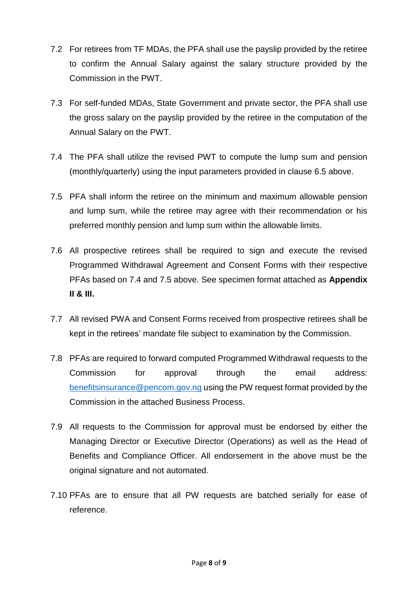- 7.2 For retirees from TF MDAs, the PFA shall use the payslip provided by the retiree to confirm the Annual Salary against the salary structure provided by the Commission in the PWT.
- 7.3 For self-funded MDAs, State Government and private sector, the PFA shall use the gross salary on the payslip provided by the retiree in the computation of the Annual Salary on the PWT.
- 7.4 The PFA shall utilize the revised PWT to compute the lump sum and pension (monthly/quarterly) using the input parameters provided in clause 6.5 above.
- 7.5 PFA shall inform the retiree on the minimum and maximum allowable pension and lump sum, while the retiree may agree with their recommendation or his preferred monthly pension and lump sum within the allowable limits.
- 7.6 All prospective retirees shall be required to sign and execute the revised Programmed Withdrawal Agreement and Consent Forms with their respective PFAs based on 7.4 and 7.5 above. See specimen format attached as **Appendix II & III.**
- 7.7 All revised PWA and Consent Forms received from prospective retirees shall be kept in the retirees' mandate file subject to examination by the Commission.
- 7.8 PFAs are required to forward computed Programmed Withdrawal requests to the Commission for approval through the email address: [benefitsinsurance@pencom.gov.ng](mailto:benefitsinsurance@pencom.gov.ng) using the PW request format provided by the Commission in the attached Business Process.
- 7.9 All requests to the Commission for approval must be endorsed by either the Managing Director or Executive Director (Operations) as well as the Head of Benefits and Compliance Officer. All endorsement in the above must be the original signature and not automated.
- 7.10 PFAs are to ensure that all PW requests are batched serially for ease of reference.